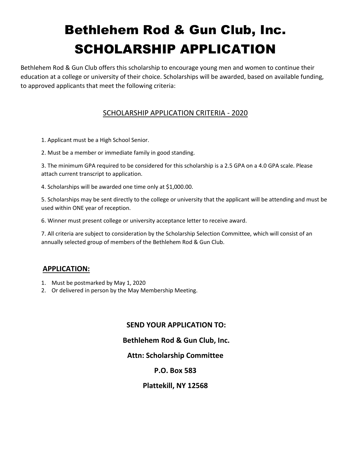# Bethlehem Rod & Gun Club, Inc. SCHOLARSHIP APPLICATION

Bethlehem Rod & Gun Club offers this scholarship to encourage young men and women to continue their education at a college or university of their choice. Scholarships will be awarded, based on available funding, to approved applicants that meet the following criteria:

## SCHOLARSHIP APPLICATION CRITERIA - 2020

1. Applicant must be a High School Senior.

2. Must be a member or immediate family in good standing.

3. The minimum GPA required to be considered for this scholarship is a 2.5 GPA on a 4.0 GPA scale. Please attach current transcript to application.

4. Scholarships will be awarded one time only at \$1,000.00.

5. Scholarships may be sent directly to the college or university that the applicant will be attending and must be used within ONE year of reception.

6. Winner must present college or university acceptance letter to receive award.

7. All criteria are subject to consideration by the Scholarship Selection Committee, which will consist of an annually selected group of members of the Bethlehem Rod & Gun Club.

#### **APPLICATION:**

- 1. Must be postmarked by May 1, 2020
- 2. Or delivered in person by the May Membership Meeting.

#### **SEND YOUR APPLICATION TO:**

# **Bethlehem Rod & Gun Club, Inc.**

#### **Attn: Scholarship Committee**

#### **P.O. Box 583**

#### **Plattekill, NY 12568**